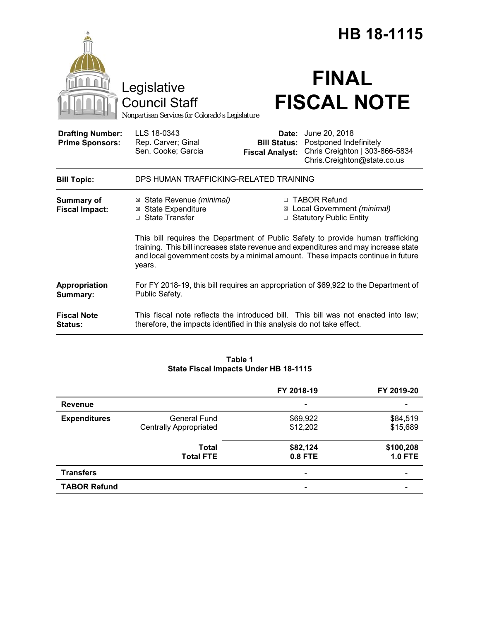|                                                   |                                                                                                                                                                                                                                                                      |                                                        | HB 18-1115                                                                                               |
|---------------------------------------------------|----------------------------------------------------------------------------------------------------------------------------------------------------------------------------------------------------------------------------------------------------------------------|--------------------------------------------------------|----------------------------------------------------------------------------------------------------------|
|                                                   | Legislative<br><b>Council Staff</b><br>Nonpartisan Services for Colorado's Legislature                                                                                                                                                                               |                                                        | <b>FINAL</b><br><b>FISCAL NOTE</b>                                                                       |
| <b>Drafting Number:</b><br><b>Prime Sponsors:</b> | LLS 18-0343<br>Rep. Carver; Ginal<br>Sen. Cooke; Garcia                                                                                                                                                                                                              | Date:<br><b>Bill Status:</b><br><b>Fiscal Analyst:</b> | June 20, 2018<br>Postponed Indefinitely<br>Chris Creighton   303-866-5834<br>Chris.Creighton@state.co.us |
| <b>Bill Topic:</b>                                | DPS HUMAN TRAFFICKING-RELATED TRAINING                                                                                                                                                                                                                               |                                                        |                                                                                                          |
| <b>Summary of</b><br><b>Fiscal Impact:</b>        | ⊠ State Revenue (minimal)<br><b>⊠ State Expenditure</b><br>□ State Transfer                                                                                                                                                                                          |                                                        | □ TABOR Refund<br>⊠ Local Government (minimal)<br>□ Statutory Public Entity                              |
|                                                   | This bill requires the Department of Public Safety to provide human trafficking<br>training. This bill increases state revenue and expenditures and may increase state<br>and local government costs by a minimal amount. These impacts continue in future<br>years. |                                                        |                                                                                                          |
| Appropriation<br>Summary:                         | For FY 2018-19, this bill requires an appropriation of \$69,922 to the Department of<br>Public Safety.                                                                                                                                                               |                                                        |                                                                                                          |
| <b>Fiscal Note</b><br>Status:                     | therefore, the impacts identified in this analysis do not take effect.                                                                                                                                                                                               |                                                        | This fiscal note reflects the introduced bill. This bill was not enacted into law;                       |

## **Table 1 State Fiscal Impacts Under HB 18-1115**

|                     |                                                      | FY 2018-19               | FY 2019-20                  |
|---------------------|------------------------------------------------------|--------------------------|-----------------------------|
| <b>Revenue</b>      |                                                      | $\overline{\phantom{0}}$ |                             |
| <b>Expenditures</b> | <b>General Fund</b><br><b>Centrally Appropriated</b> | \$69,922<br>\$12,202     | \$84,519<br>\$15,689        |
|                     | <b>Total</b><br><b>Total FTE</b>                     | \$82,124<br>0.8 FTE      | \$100,208<br><b>1.0 FTE</b> |
| <b>Transfers</b>    |                                                      | $\overline{\phantom{a}}$ |                             |
| <b>TABOR Refund</b> |                                                      |                          |                             |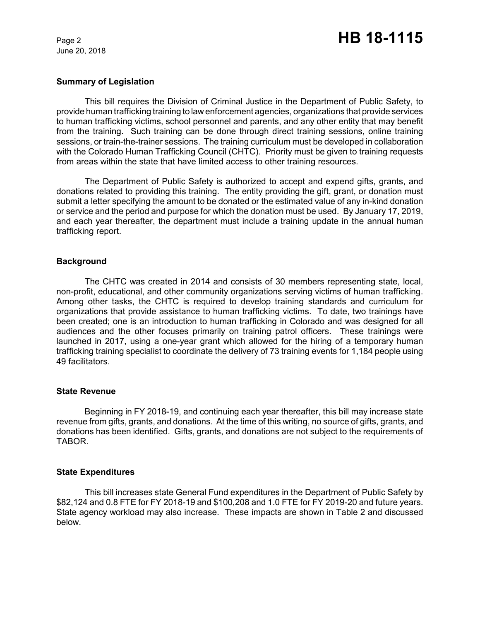June 20, 2018

### **Summary of Legislation**

This bill requires the Division of Criminal Justice in the Department of Public Safety, to provide human trafficking training to law enforcement agencies, organizations that provide services to human trafficking victims, school personnel and parents, and any other entity that may benefit from the training. Such training can be done through direct training sessions, online training sessions, or train-the-trainer sessions. The training curriculum must be developed in collaboration with the Colorado Human Trafficking Council (CHTC). Priority must be given to training requests from areas within the state that have limited access to other training resources.

The Department of Public Safety is authorized to accept and expend gifts, grants, and donations related to providing this training. The entity providing the gift, grant, or donation must submit a letter specifying the amount to be donated or the estimated value of any in-kind donation or service and the period and purpose for which the donation must be used. By January 17, 2019, and each year thereafter, the department must include a training update in the annual human trafficking report.

### **Background**

The CHTC was created in 2014 and consists of 30 members representing state, local, non-profit, educational, and other community organizations serving victims of human trafficking. Among other tasks, the CHTC is required to develop training standards and curriculum for organizations that provide assistance to human trafficking victims. To date, two trainings have been created; one is an introduction to human trafficking in Colorado and was designed for all audiences and the other focuses primarily on training patrol officers. These trainings were launched in 2017, using a one-year grant which allowed for the hiring of a temporary human trafficking training specialist to coordinate the delivery of 73 training events for 1,184 people using 49 facilitators.

#### **State Revenue**

Beginning in FY 2018-19, and continuing each year thereafter, this bill may increase state revenue from gifts, grants, and donations. At the time of this writing, no source of gifts, grants, and donations has been identified. Gifts, grants, and donations are not subject to the requirements of TABOR.

### **State Expenditures**

This bill increases state General Fund expenditures in the Department of Public Safety by \$82,124 and 0.8 FTE for FY 2018-19 and \$100,208 and 1.0 FTE for FY 2019-20 and future years. State agency workload may also increase. These impacts are shown in Table 2 and discussed below.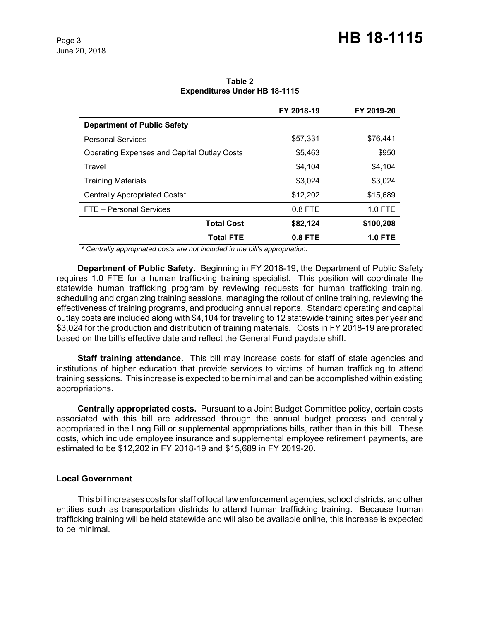# Page 3 **HB 18-1115**

|                                                    | FY 2018-19 | FY 2019-20     |
|----------------------------------------------------|------------|----------------|
| <b>Department of Public Safety</b>                 |            |                |
| <b>Personal Services</b>                           | \$57,331   | \$76,441       |
| <b>Operating Expenses and Capital Outlay Costs</b> | \$5,463    | \$950          |
| Travel                                             | \$4.104    | \$4,104        |
| <b>Training Materials</b>                          | \$3.024    | \$3,024        |
| Centrally Appropriated Costs*                      | \$12,202   | \$15,689       |
| FTE - Personal Services                            | $0.8$ FTE  | $1.0$ FTE      |
| <b>Total Cost</b>                                  | \$82,124   | \$100,208      |
| <b>Total FTE</b>                                   | $0.8$ FTE  | <b>1.0 FTE</b> |

**Table 2 Expenditures Under HB 18-1115**

 *\* Centrally appropriated costs are not included in the bill's appropriation.*

**Department of Public Safety.** Beginning in FY 2018-19, the Department of Public Safety requires 1.0 FTE for a human trafficking training specialist. This position will coordinate the statewide human trafficking program by reviewing requests for human trafficking training, scheduling and organizing training sessions, managing the rollout of online training, reviewing the effectiveness of training programs, and producing annual reports. Standard operating and capital outlay costs are included along with \$4,104 for traveling to 12 statewide training sites per year and \$3,024 for the production and distribution of training materials. Costs in FY 2018-19 are prorated based on the bill's effective date and reflect the General Fund paydate shift.

**Staff training attendance.** This bill may increase costs for staff of state agencies and institutions of higher education that provide services to victims of human trafficking to attend training sessions. This increase is expected to be minimal and can be accomplished within existing appropriations.

**Centrally appropriated costs.** Pursuant to a Joint Budget Committee policy, certain costs associated with this bill are addressed through the annual budget process and centrally appropriated in the Long Bill or supplemental appropriations bills, rather than in this bill. These costs, which include employee insurance and supplemental employee retirement payments, are estimated to be \$12,202 in FY 2018-19 and \$15,689 in FY 2019-20.

### **Local Government**

This bill increases costs for staff of local law enforcement agencies, school districts, and other entities such as transportation districts to attend human trafficking training. Because human trafficking training will be held statewide and will also be available online, this increase is expected to be minimal.